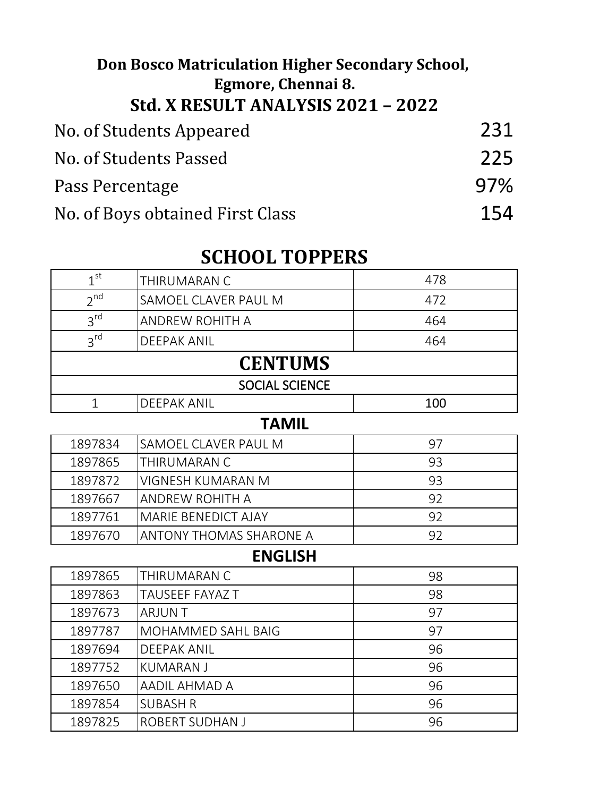## No. of Students Appeared 231 No. of Students Passed 225 Pass Percentage 97% No. of Boys obtained First Class 154 **Don Bosco Matriculation Higher Secondary School, Egmore, Chennai 8. Std. X RESULT ANALYSIS 2021 – 2022**

## **SCHOOL TOPPERS**

| 1 <sup>st</sup> | THIRUMARAN C                   | 478 |
|-----------------|--------------------------------|-----|
| $2^{nd}$        | SAMOEL CLAVER PAUL M           | 472 |
| $3^{\text{rd}}$ | <b>ANDREW ROHITH A</b>         | 464 |
| 3 <sup>rd</sup> | <b>DEEPAK ANIL</b>             | 464 |
|                 | <b>CENTUMS</b>                 |     |
|                 | <b>SOCIAL SCIENCE</b>          |     |
| $\mathbf{1}$    | <b>DEEPAK ANIL</b>             | 100 |
|                 | <b>TAMIL</b>                   |     |
| 1897834         | SAMOEL CLAVER PAUL M           | 97  |
| 1897865         | THIRUMARAN C                   | 93  |
| 1897872         | VIGNESH KUMARAN M              | 93  |
| 1897667         | <b>ANDREW ROHITH A</b>         | 92  |
| 1897761         | MARIE BENEDICT AJAY            | 92  |
| 1897670         | <b>ANTONY THOMAS SHARONE A</b> | 92  |
|                 | <b>ENGLISH</b>                 |     |
| 1897865         | THIRUMARAN C                   | 98  |
| 1897863         | TAUSEEF FAYAZ T                | 98  |
| 1897673         | <b>ARJUNT</b>                  | 97  |
| 1897787         | MOHAMMED SAHL BAIG             | 97  |
| 1897694         | <b>DEEPAK ANIL</b>             | 96  |
| 1897752         | <b>KUMARAN J</b>               | 96  |
| 1897650         | AADIL AHMAD A                  | 96  |
| 1897854         | <b>SUBASH R</b>                | 96  |
| 1897825         | <b>ROBERT SUDHAN J</b>         | 96  |